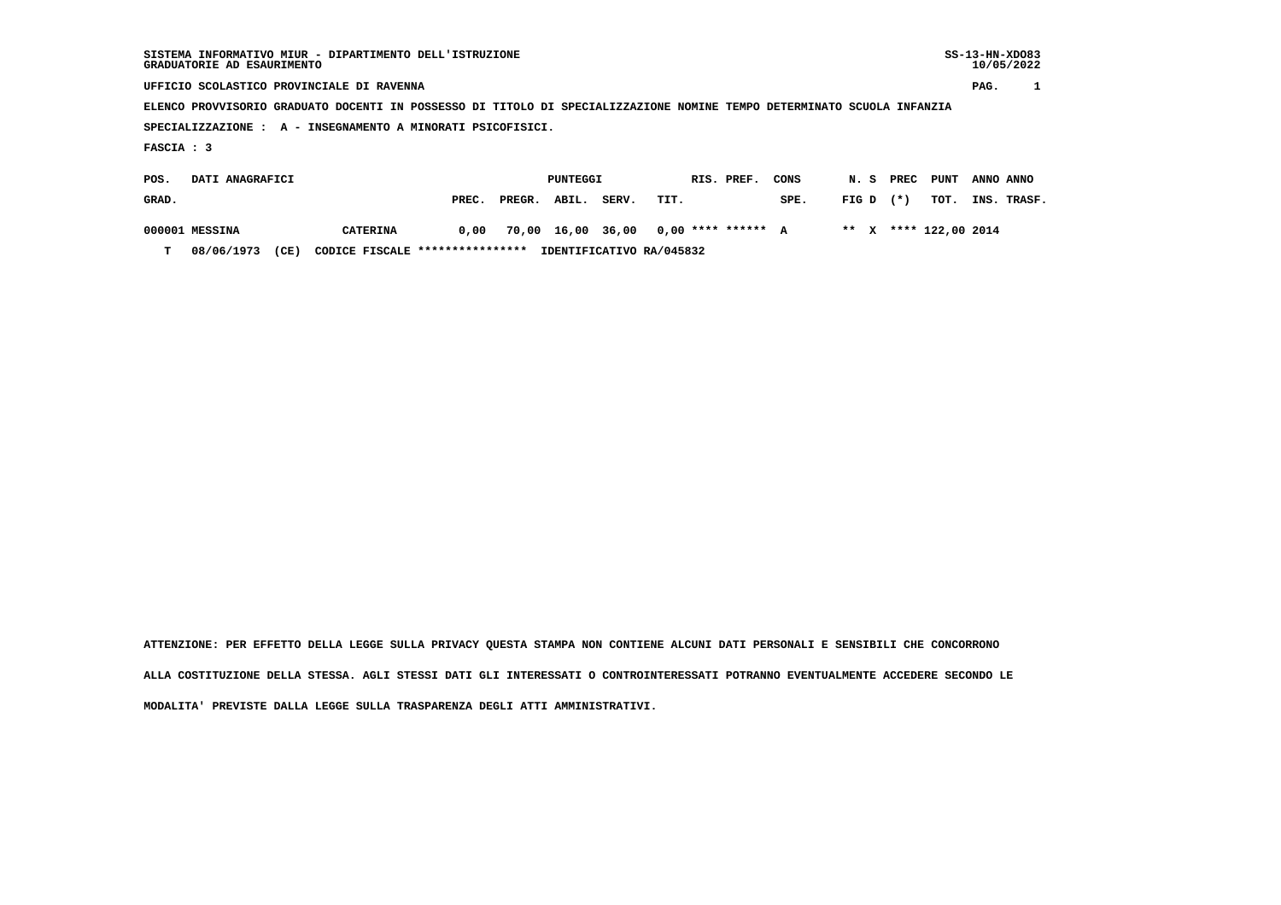| SISTEMA INFORMATIVO MIUR - DIPARTIMENTO DELL'ISTRUZIONE<br>GRADUATORIE AD ESAURIMENTO |                                                                                                                        |       |        |          |       |      |  |            |      |       |  |       |      | $SS-13-HN-XDO83$<br>10/05/2022 |             |  |
|---------------------------------------------------------------------------------------|------------------------------------------------------------------------------------------------------------------------|-------|--------|----------|-------|------|--|------------|------|-------|--|-------|------|--------------------------------|-------------|--|
|                                                                                       | UFFICIO SCOLASTICO PROVINCIALE DI RAVENNA                                                                              |       |        |          |       |      |  |            |      |       |  |       |      | PAG.                           |             |  |
|                                                                                       | ELENCO PROVVISORIO GRADUATO DOCENTI IN POSSESSO DI TITOLO DI SPECIALIZZAZIONE NOMINE TEMPO DETERMINATO SCUOLA INFANZIA |       |        |          |       |      |  |            |      |       |  |       |      |                                |             |  |
|                                                                                       | SPECIALIZZAZIONE : A - INSEGNAMENTO A MINORATI PSICOFISICI.                                                            |       |        |          |       |      |  |            |      |       |  |       |      |                                |             |  |
| FASCIA : 3                                                                            |                                                                                                                        |       |        |          |       |      |  |            |      |       |  |       |      |                                |             |  |
| POS.                                                                                  | DATI ANAGRAFICI                                                                                                        |       |        | PUNTEGGI |       |      |  | RIS. PREF. | CONS | N. S  |  | PREC  | PUNT | ANNO ANNO                      |             |  |
| GRAD.                                                                                 |                                                                                                                        | PREC. | PREGR. | ABIL.    | SERV. | TIT. |  |            | SPE. | FIG D |  | $(*)$ | TOT. |                                | INS. TRASF. |  |
|                                                                                       |                                                                                                                        |       |        |          |       |      |  |            |      |       |  |       |      |                                |             |  |

 **000001 MESSINA CATERINA 0,00 70,00 16,00 36,00 0,00 \*\*\*\* \*\*\*\*\*\* A \*\* X \*\*\*\* 122,00 2014**

 **T 08/06/1973 (CE) CODICE FISCALE \*\*\*\*\*\*\*\*\*\*\*\*\*\*\*\* IDENTIFICATIVO RA/045832**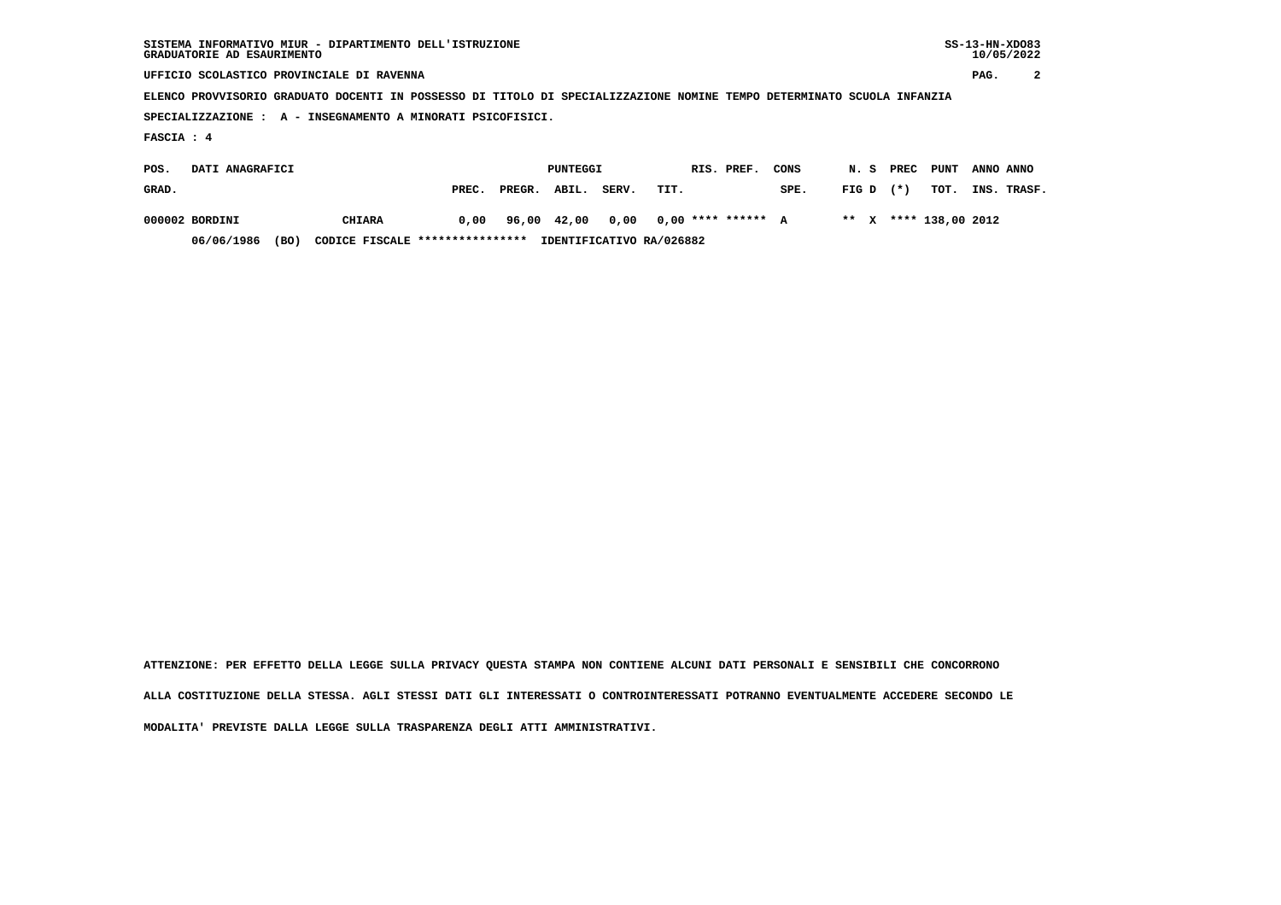| SISTEMA INFORMATIVO MIUR - DIPARTIMENTO DELL'ISTRUZIONE<br>GRADUATORIE AD ESAURIMENTO                                  |                                           |        |                 |       |      |  |                      |      |       |  |       |                  | $SS-13-HN-XDO83$<br>10/05/2022 |             |
|------------------------------------------------------------------------------------------------------------------------|-------------------------------------------|--------|-----------------|-------|------|--|----------------------|------|-------|--|-------|------------------|--------------------------------|-------------|
|                                                                                                                        | UFFICIO SCOLASTICO PROVINCIALE DI RAVENNA |        |                 |       |      |  |                      |      |       |  |       | PAG.             | 2                              |             |
| ELENCO PROVVISORIO GRADUATO DOCENTI IN POSSESSO DI TITOLO DI SPECIALIZZAZIONE NOMINE TEMPO DETERMINATO SCUOLA INFANZIA |                                           |        |                 |       |      |  |                      |      |       |  |       |                  |                                |             |
| SPECIALIZZAZIONE : A - INSEGNAMENTO A MINORATI PSICOFISICI.                                                            |                                           |        |                 |       |      |  |                      |      |       |  |       |                  |                                |             |
| FASCIA : 4                                                                                                             |                                           |        |                 |       |      |  |                      |      |       |  |       |                  |                                |             |
| DATI ANAGRAFICI<br>POS.                                                                                                |                                           |        | <b>PUNTEGGI</b> |       |      |  | RIS. PREF.           | CONS | N. S  |  | PREC  | PUNT             | ANNO ANNO                      |             |
| GRAD.                                                                                                                  | PREC.                                     | PREGR. | ABIL.           | SERV. | TIT. |  |                      | SPE. | FIG D |  | $(*)$ | TOT.             |                                | INS. TRASF. |
| 000002 BORDINI<br><b>CHIARA</b>                                                                                        | 0,00                                      | 96,00  | 42,00           | 0,00  |      |  | $0.00$ **** ****** A |      | ** X  |  |       | **** 138,00 2012 |                                |             |

 **06/06/1986 (BO) CODICE FISCALE \*\*\*\*\*\*\*\*\*\*\*\*\*\*\*\* IDENTIFICATIVO RA/026882**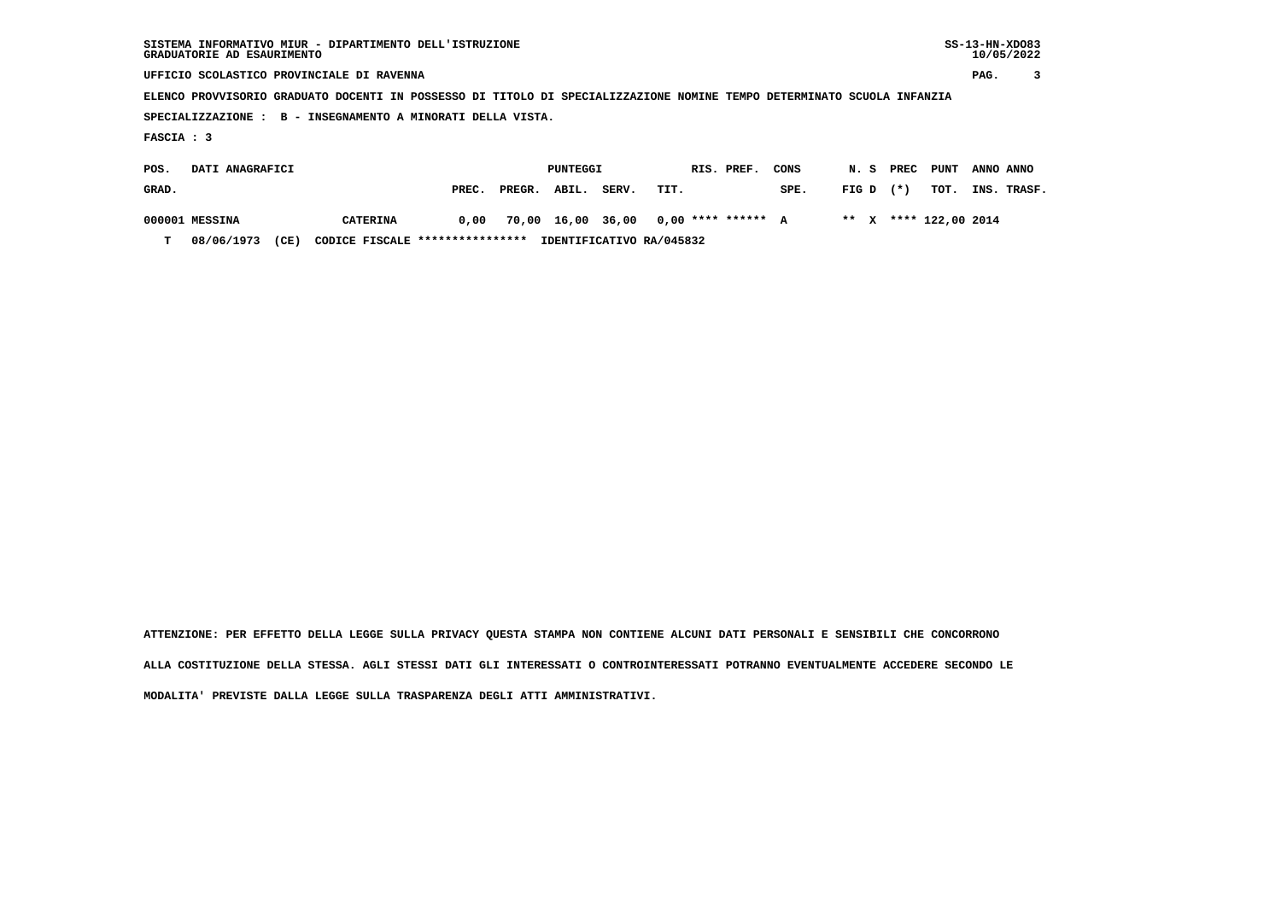| SISTEMA INFORMATIVO MIUR - DIPARTIMENTO DELL'ISTRUZIONE<br>GRADUATORIE AD ESAURIMENTO                                  |                                           |        |          |       |      |  |                      |      |       |  |       |                  | $SS-13-HN-XDO83$<br>10/05/2022 |             |
|------------------------------------------------------------------------------------------------------------------------|-------------------------------------------|--------|----------|-------|------|--|----------------------|------|-------|--|-------|------------------|--------------------------------|-------------|
|                                                                                                                        | UFFICIO SCOLASTICO PROVINCIALE DI RAVENNA |        |          |       |      |  |                      |      |       |  |       |                  | PAG.                           |             |
| ELENCO PROVVISORIO GRADUATO DOCENTI IN POSSESSO DI TITOLO DI SPECIALIZZAZIONE NOMINE TEMPO DETERMINATO SCUOLA INFANZIA |                                           |        |          |       |      |  |                      |      |       |  |       |                  |                                |             |
| B - INSEGNAMENTO A MINORATI DELLA VISTA.<br>SPECIALIZZAZIONE:                                                          |                                           |        |          |       |      |  |                      |      |       |  |       |                  |                                |             |
| FASCIA : 3                                                                                                             |                                           |        |          |       |      |  |                      |      |       |  |       |                  |                                |             |
| POS.<br>DATI ANAGRAFICI                                                                                                |                                           |        | PUNTEGGI |       |      |  | RIS. PREF.           | CONS | N.S   |  | PREC  | <b>PUNT</b>      | ANNO ANNO                      |             |
| GRAD.                                                                                                                  | PREC.                                     | PREGR. | ABIL.    | SERV. | TIT. |  |                      | SPE. | FIG D |  | $(*)$ | TOT.             |                                | INS. TRASF. |
| 000001 MESSINA<br><b>CATERINA</b>                                                                                      | 0,00                                      | 70,00  | 16,00    | 36,00 |      |  | $0.00$ **** ****** A |      | ** X  |  |       | **** 122,00 2014 |                                |             |

 **T 08/06/1973 (CE) CODICE FISCALE \*\*\*\*\*\*\*\*\*\*\*\*\*\*\*\* IDENTIFICATIVO RA/045832**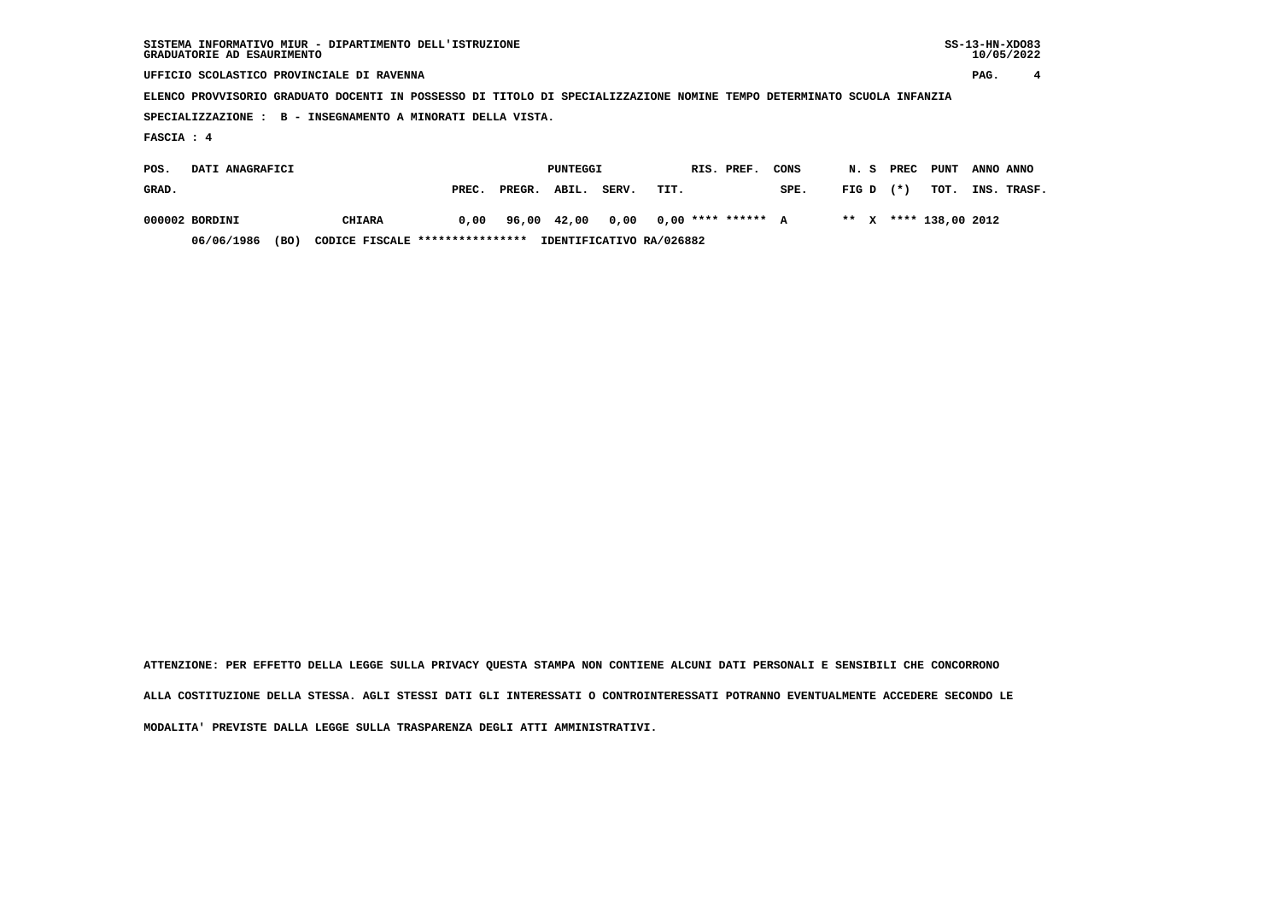| SISTEMA INFORMATIVO MIUR - DIPARTIMENTO DELL'ISTRUZIONE<br>GRADUATORIE AD ESAURIMENTO                                  |       |        |          |       |      |  |                      |      |       |  |       |                  | $SS-13-HN-XDO83$<br>10/05/2022 |             |  |
|------------------------------------------------------------------------------------------------------------------------|-------|--------|----------|-------|------|--|----------------------|------|-------|--|-------|------------------|--------------------------------|-------------|--|
| UFFICIO SCOLASTICO PROVINCIALE DI RAVENNA                                                                              |       |        |          |       |      |  |                      |      |       |  |       |                  | PAG.                           | 4           |  |
| ELENCO PROVVISORIO GRADUATO DOCENTI IN POSSESSO DI TITOLO DI SPECIALIZZAZIONE NOMINE TEMPO DETERMINATO SCUOLA INFANZIA |       |        |          |       |      |  |                      |      |       |  |       |                  |                                |             |  |
| B - INSEGNAMENTO A MINORATI DELLA VISTA.<br>SPECIALIZZAZIONE :                                                         |       |        |          |       |      |  |                      |      |       |  |       |                  |                                |             |  |
| FASCIA : 4                                                                                                             |       |        |          |       |      |  |                      |      |       |  |       |                  |                                |             |  |
| DATI ANAGRAFICI<br>POS.                                                                                                |       |        | PUNTEGGI |       |      |  | RIS. PREF.           | CONS | N.S   |  | PREC  | PUNT             | ANNO ANNO                      |             |  |
| GRAD.                                                                                                                  | PREC. | PREGR. | ABIL.    | SERV. | TIT. |  |                      | SPE. | FIG D |  | $(*)$ | TOT.             |                                | INS. TRASF. |  |
| 000002 BORDINI<br><b>CHIARA</b>                                                                                        | 0,00  | 96,00  | 42,00    | 0,00  |      |  | $0.00$ **** ****** A |      | ** X  |  |       | **** 138,00 2012 |                                |             |  |

 **06/06/1986 (BO) CODICE FISCALE \*\*\*\*\*\*\*\*\*\*\*\*\*\*\*\* IDENTIFICATIVO RA/026882**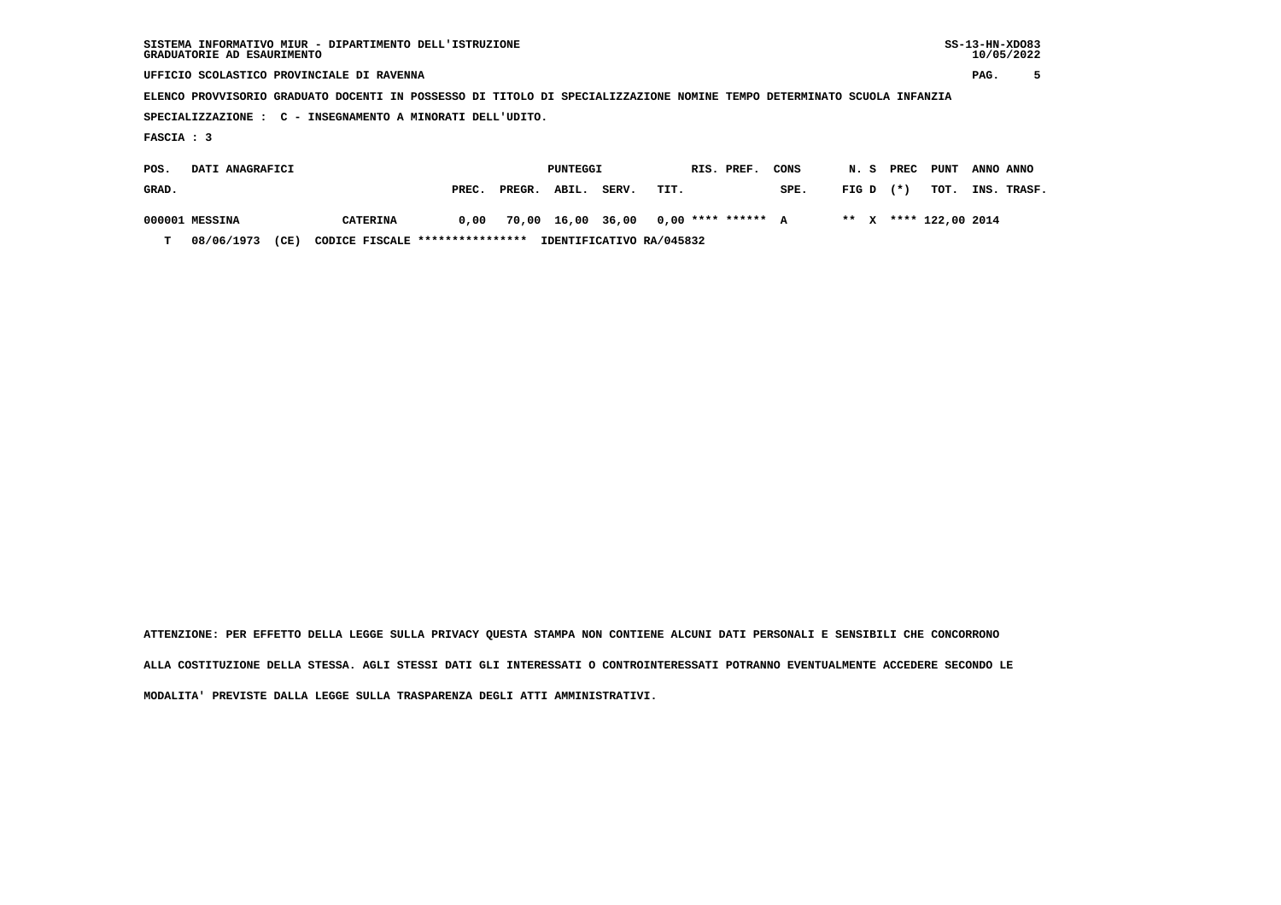| SISTEMA INFORMATIVO MIUR - DIPARTIMENTO DELL'ISTRUZIONE<br>GRADUATORIE AD ESAURIMENTO                                  |                                           |        |                 |       |      |  |                      |      |       |  |       |                  | $SS-13-HN-XDO83$<br>10/05/2022 |             |
|------------------------------------------------------------------------------------------------------------------------|-------------------------------------------|--------|-----------------|-------|------|--|----------------------|------|-------|--|-------|------------------|--------------------------------|-------------|
|                                                                                                                        | UFFICIO SCOLASTICO PROVINCIALE DI RAVENNA |        |                 |       |      |  |                      |      |       |  |       |                  | PAG.                           |             |
| ELENCO PROVVISORIO GRADUATO DOCENTI IN POSSESSO DI TITOLO DI SPECIALIZZAZIONE NOMINE TEMPO DETERMINATO SCUOLA INFANZIA |                                           |        |                 |       |      |  |                      |      |       |  |       |                  |                                |             |
| SPECIALIZZAZIONE : C - INSEGNAMENTO A MINORATI DELL'UDITO.                                                             |                                           |        |                 |       |      |  |                      |      |       |  |       |                  |                                |             |
| FASCIA : 3                                                                                                             |                                           |        |                 |       |      |  |                      |      |       |  |       |                  |                                |             |
| DATI ANAGRAFICI<br>POS.                                                                                                |                                           |        | <b>PUNTEGGI</b> |       |      |  | RIS. PREF.           | CONS | N. S  |  | PREC  | PUNT             | ANNO ANNO                      |             |
| GRAD.                                                                                                                  | PREC.                                     | PREGR. | ABIL.           | SERV. | TIT. |  |                      | SPE. | FIG D |  | $(*)$ | TOT.             |                                | INS. TRASF. |
| 000001 MESSINA<br><b>CATERINA</b>                                                                                      | 0,00                                      |        | 70,00 16,00     | 36,00 |      |  | $0.00$ **** ****** A |      | ** X  |  |       | **** 122,00 2014 |                                |             |

 **T 08/06/1973 (CE) CODICE FISCALE \*\*\*\*\*\*\*\*\*\*\*\*\*\*\*\* IDENTIFICATIVO RA/045832**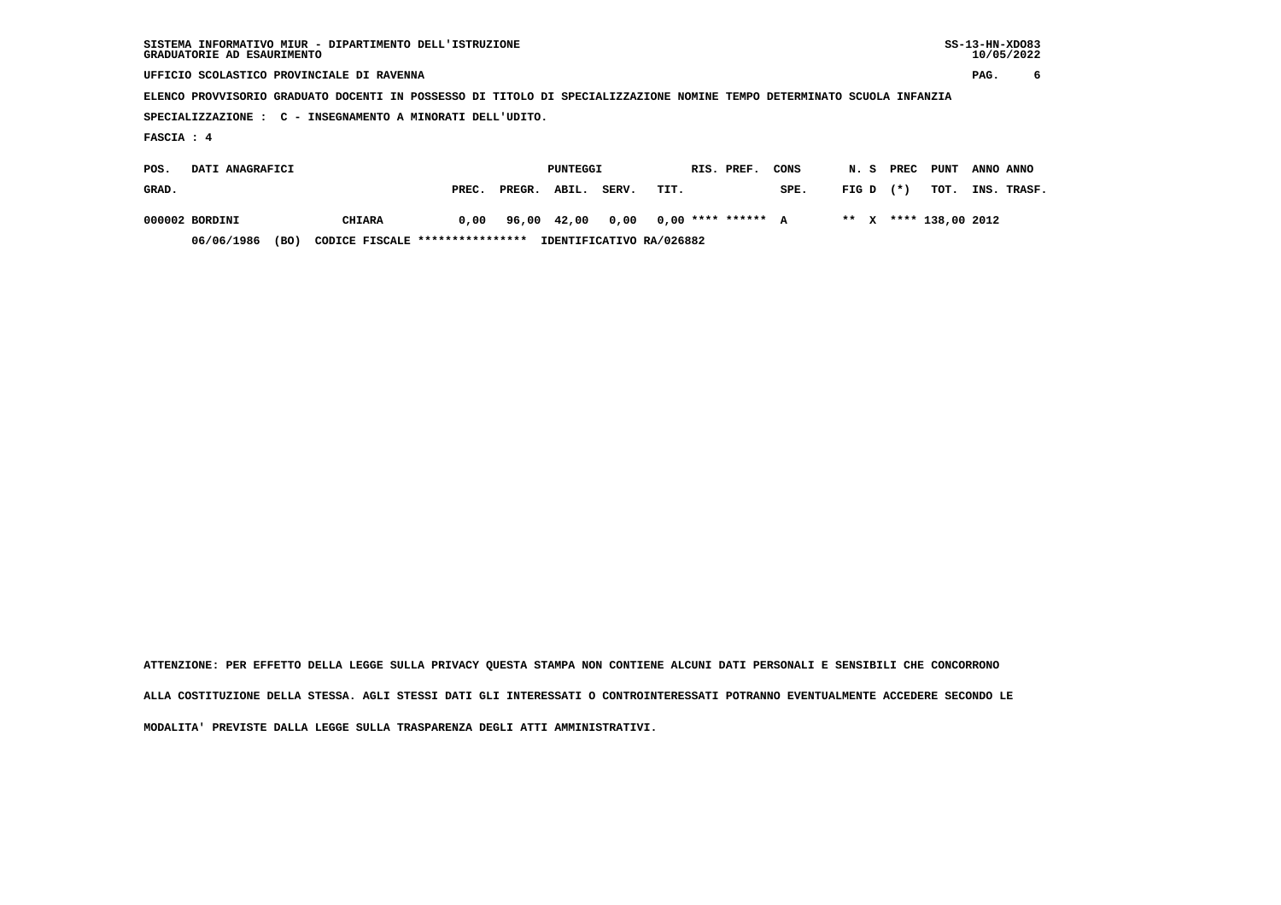| SISTEMA INFORMATIVO MIUR - DIPARTIMENTO DELL'ISTRUZIONE<br>GRADUATORIE AD ESAURIMENTO                                  |                                           |        |                 |       |      |  |                      |      |       |  |       |                  | $SS-13-HN-XDO83$<br>10/05/2022 |             |
|------------------------------------------------------------------------------------------------------------------------|-------------------------------------------|--------|-----------------|-------|------|--|----------------------|------|-------|--|-------|------------------|--------------------------------|-------------|
|                                                                                                                        | UFFICIO SCOLASTICO PROVINCIALE DI RAVENNA |        |                 |       |      |  |                      |      |       |  |       |                  | PAG.                           | 6           |
| ELENCO PROVVISORIO GRADUATO DOCENTI IN POSSESSO DI TITOLO DI SPECIALIZZAZIONE NOMINE TEMPO DETERMINATO SCUOLA INFANZIA |                                           |        |                 |       |      |  |                      |      |       |  |       |                  |                                |             |
| SPECIALIZZAZIONE : C - INSEGNAMENTO A MINORATI DELL'UDITO.                                                             |                                           |        |                 |       |      |  |                      |      |       |  |       |                  |                                |             |
| FASCIA : 4                                                                                                             |                                           |        |                 |       |      |  |                      |      |       |  |       |                  |                                |             |
| DATI ANAGRAFICI<br>POS.                                                                                                |                                           |        | <b>PUNTEGGI</b> |       |      |  | RIS. PREF.           | CONS | N. S  |  | PREC  | PUNT             |                                | ANNO ANNO   |
| GRAD.                                                                                                                  | PREC.                                     | PREGR. | ABIL.           | SERV. | TIT. |  |                      | SPE. | FIG D |  | $(*)$ | TOT.             |                                | INS. TRASF. |
| 000002 BORDINI<br><b>CHIARA</b>                                                                                        | 0,00                                      | 96,00  | 42,00           | 0,00  |      |  | $0.00$ **** ****** A |      | ** X  |  |       | **** 138,00 2012 |                                |             |

 **06/06/1986 (BO) CODICE FISCALE \*\*\*\*\*\*\*\*\*\*\*\*\*\*\*\* IDENTIFICATIVO RA/026882**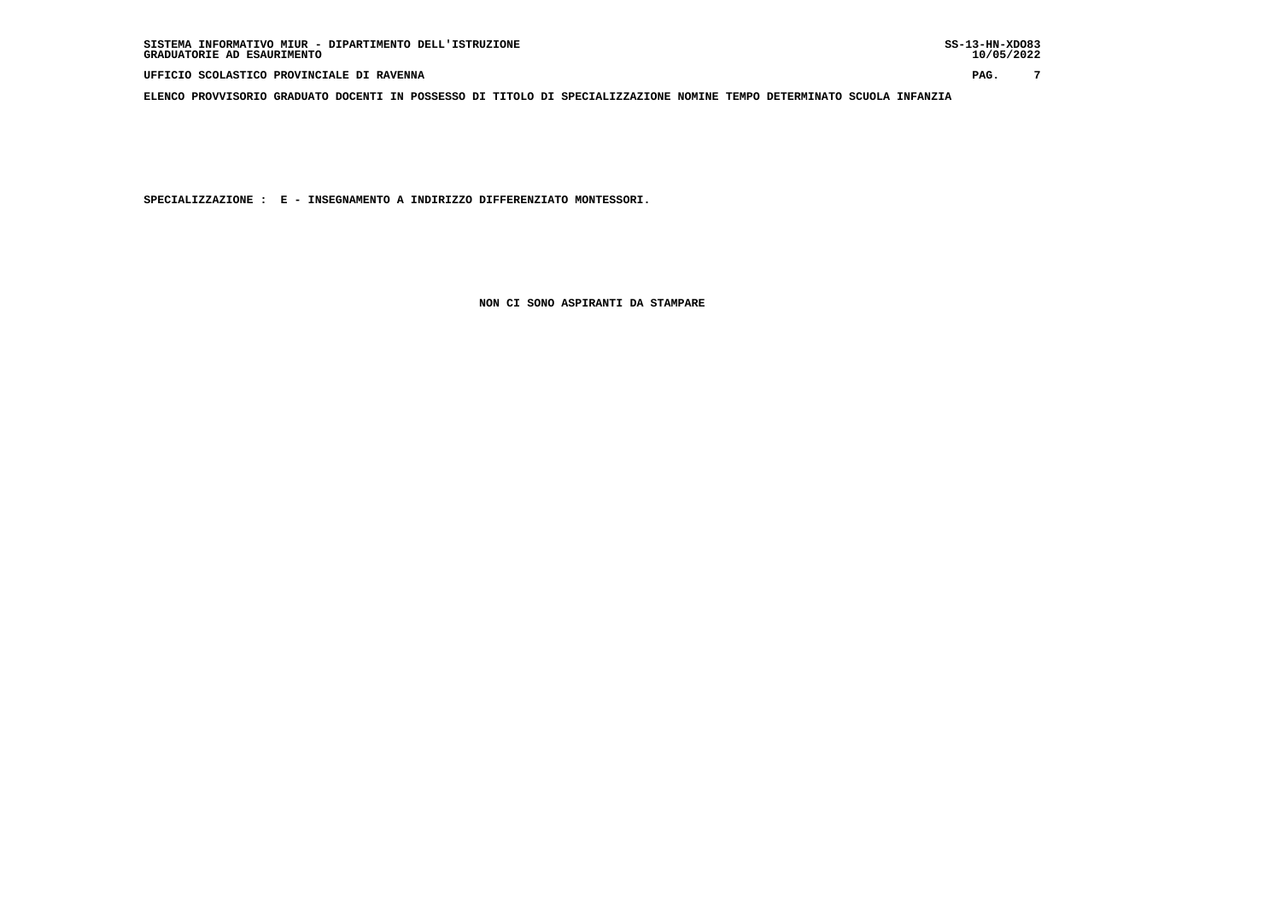**UFFICIO SCOLASTICO PROVINCIALE DI RAVENNA PAG. 7**

 **ELENCO PROVVISORIO GRADUATO DOCENTI IN POSSESSO DI TITOLO DI SPECIALIZZAZIONE NOMINE TEMPO DETERMINATO SCUOLA INFANZIA**

 **SPECIALIZZAZIONE : E - INSEGNAMENTO A INDIRIZZO DIFFERENZIATO MONTESSORI.**

 **NON CI SONO ASPIRANTI DA STAMPARE**